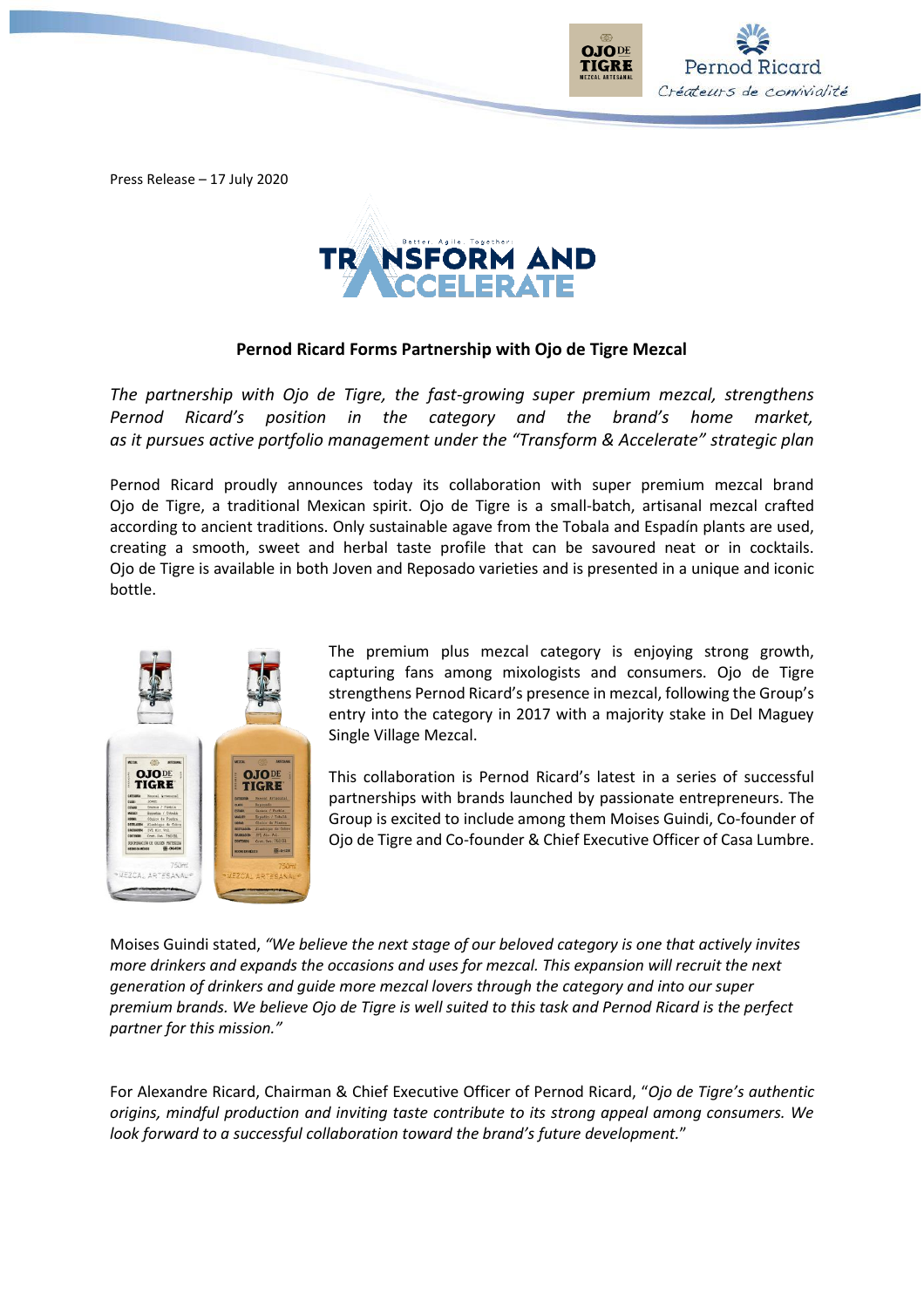Press Release – 17 July 2020



# **Pernod Ricard Forms Partnership with Ojo de Tigre Mezcal**

*The partnership with Ojo de Tigre, the fast-growing super premium mezcal, strengthens Pernod Ricard's position in the category and the brand's home market, as it pursues active portfolio management under the "Transform & Accelerate" strategic plan*

Pernod Ricard proudly announces today its collaboration with super premium mezcal brand Ojo de Tigre, a traditional Mexican spirit. Ojo de Tigre is a small-batch, artisanal mezcal crafted according to ancient traditions. Only sustainable agave from the Tobala and Espadín plants are used, creating a smooth, sweet and herbal taste profile that can be savoured neat or in cocktails. Ojo de Tigre is available in both Joven and Reposado varieties and is presented in a unique and iconic bottle.



The premium plus mezcal category is enjoying strong growth, capturing fans among mixologists and consumers. Ojo de Tigre strengthens Pernod Ricard's presence in mezcal, following the Group's entry into the category in 2017 with a majority stake in Del Maguey Single Village Mezcal.

**TIGRE** 

Pernod Ricard Créateurs de convivialité

This collaboration is Pernod Ricard's latest in a series of successful partnerships with brands launched by passionate entrepreneurs. The Group is excited to include among them Moises Guindi, Co-founder of Ojo de Tigre and Co-founder & Chief Executive Officer of Casa Lumbre.

Moises Guindi stated, *"We believe the next stage of our beloved category is one that actively invites more drinkers and expands the occasions and uses for mezcal. This expansion will recruit the next generation of drinkers and guide more mezcal lovers through the category and into our super premium brands. We believe Ojo de Tigre is well suited to this task and Pernod Ricard is the perfect partner for this mission."*

For Alexandre Ricard, Chairman & Chief Executive Officer of Pernod Ricard, "*Ojo de Tigre's authentic origins, mindful production and inviting taste contribute to its strong appeal among consumers. We look forward to a successful collaboration toward the brand's future development.*"